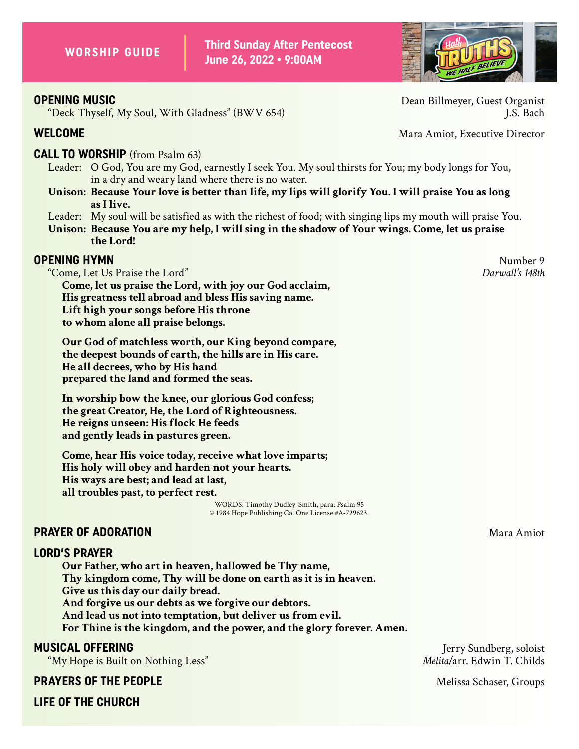**WORSHIP GUIDE Third Sunday After Pentecost June 26, 2022 • 9:00AM**



"Deck Thyself, My Soul, With Gladness" (BWV 654) J.S. Bach

# **CALL TO WORSHIP** (from Psalm 63)

Leader: O God, You are my God, earnestly I seek You. My soul thirsts for You; my body longs for You, in a dry and weary land where there is no water.

- **Unison: Because Your love is better than life, my lips will glorify You. I will praise You as long as I live.**
- Leader: My soul will be satisfied as with the richest of food; with singing lips my mouth will praise You.
- **Unison: Because You are my help, I will sing in the shadow of Your wings. Come, let us praise the Lord!**

### **OPENING HYMN** Number 9

"Come, Let Us Praise the Lord" *Darwall's 148th*  **Come, let us praise the Lord, with joy our God acclaim, His greatness tell abroad and bless His saving name. Lift high your songs before His throne to whom alone all praise belongs.** 

 **Our God of matchless worth, our King beyond compare, the deepest bounds of earth, the hills are in His care. He all decrees, who by His hand prepared the land and formed the seas.** 

 **In worship bow the knee, our glorious God confess; the great Creator, He, the Lord of Righteousness. He reigns unseen: His flock He feeds and gently leads in pastures green.**

 **Come, hear His voice today, receive what love imparts; His holy will obey and harden not your hearts. His ways are best; and lead at last, all troubles past, to perfect rest.** 

> WORDS: Timothy Dudley-Smith, para. Psalm 95 © 1984 Hope Publishing Co. One License #A-729623.

# **PRAYER OF ADORATION** Material Mars Amiot **Material Material Material Material Material Material Material Material Material Material Material Material Material Material Material Material Material Material Material Material**

## **LORD'S PRAYER**

 **Our Father, who art in heaven, hallowed be Thy name, Thy kingdom come, Thy will be done on earth as it is in heaven. Give us this day our daily bread. And forgive us our debts as we forgive our debtors. And lead us not into temptation, but deliver us from evil. For Thine is the kingdom, and the power, and the glory forever. Amen.**

"My Hope is Built on Nothing Less"

**PRAYERS OF THE PEOPLE CONSERVERS OF THE PEOPLE** 

**LIFE OF THE CHURCH**

**OPENING MUSIC** Dean Billmeyer, Guest Organist

**WELCOME** Mara Amiot, Executive Director **Mara Amiot, Executive Director** 

**MUSICAL OFFERING** Jerry Sundberg, soloist<br>
"My Hope is Built on Nothing Less" *Melita/arr.* Edwin T. Childs